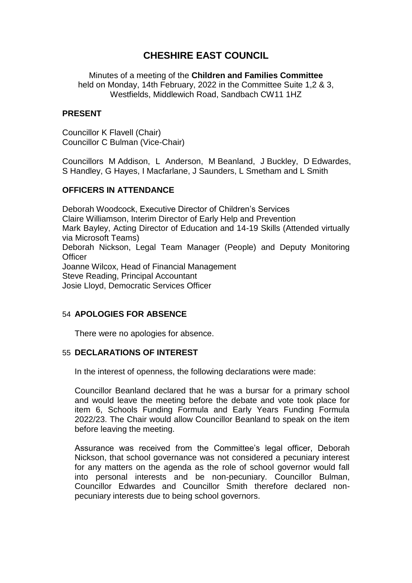# **CHESHIRE EAST COUNCIL**

Minutes of a meeting of the **Children and Families Committee** held on Monday, 14th February, 2022 in the Committee Suite 1,2 & 3, Westfields, Middlewich Road, Sandbach CW11 1HZ

## **PRESENT**

Councillor K Flavell (Chair) Councillor C Bulman (Vice-Chair)

Councillors M Addison, L Anderson, M Beanland, J Buckley, D Edwardes, S Handley, G Hayes, I Macfarlane, J Saunders, L Smetham and L Smith

# **OFFICERS IN ATTENDANCE**

Deborah Woodcock, Executive Director of Children's Services Claire Williamson, Interim Director of Early Help and Prevention Mark Bayley, Acting Director of Education and 14-19 Skills (Attended virtually via Microsoft Teams) Deborah Nickson, Legal Team Manager (People) and Deputy Monitoring **Officer** Joanne Wilcox, Head of Financial Management Steve Reading, Principal Accountant Josie Lloyd, Democratic Services Officer

# 54 **APOLOGIES FOR ABSENCE**

There were no apologies for absence.

### 55 **DECLARATIONS OF INTEREST**

In the interest of openness, the following declarations were made:

Councillor Beanland declared that he was a bursar for a primary school and would leave the meeting before the debate and vote took place for item 6, Schools Funding Formula and Early Years Funding Formula 2022/23. The Chair would allow Councillor Beanland to speak on the item before leaving the meeting.

Assurance was received from the Committee's legal officer, Deborah Nickson, that school governance was not considered a pecuniary interest for any matters on the agenda as the role of school governor would fall into personal interests and be non-pecuniary. Councillor Bulman, Councillor Edwardes and Councillor Smith therefore declared nonpecuniary interests due to being school governors.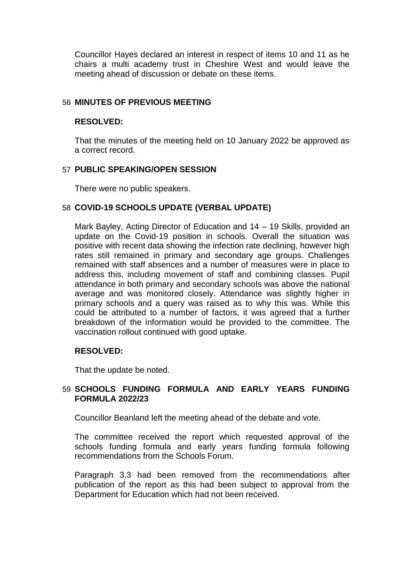Councillor Hayes declared an interest in respect of items 10 and 11 as he chairs a multi academy trust in Cheshire West and would leave the meeting ahead of discussion or debate on these items.

## 56 **MINUTES OF PREVIOUS MEETING**

### **RESOLVED:**

That the minutes of the meeting held on 10 January 2022 be approved as a correct record.

### 57 **PUBLIC SPEAKING/OPEN SESSION**

There were no public speakers.

#### 58 **COVID-19 SCHOOLS UPDATE (VERBAL UPDATE)**

Mark Bayley, Acting Director of Education and 14 – 19 Skills, provided an update on the Covid-19 position in schools. Overall the situation was positive with recent data showing the infection rate declining, however high rates still remained in primary and secondary age groups. Challenges remained with staff absences and a number of measures were in place to address this, including movement of staff and combining classes. Pupil attendance in both primary and secondary schools was above the national average and was monitored closely. Attendance was slightly higher in primary schools and a query was raised as to why this was. While this could be attributed to a number of factors, it was agreed that a further breakdown of the information would be provided to the committee. The vaccination rollout continued with good uptake.

# **RESOLVED:**

That the update be noted.

# 59 **SCHOOLS FUNDING FORMULA AND EARLY YEARS FUNDING FORMULA 2022/23**

Councillor Beanland left the meeting ahead of the debate and vote.

The committee received the report which requested approval of the schools funding formula and early years funding formula following recommendations from the Schools Forum.

Paragraph 3.3 had been removed from the recommendations after publication of the report as this had been subject to approval from the Department for Education which had not been received.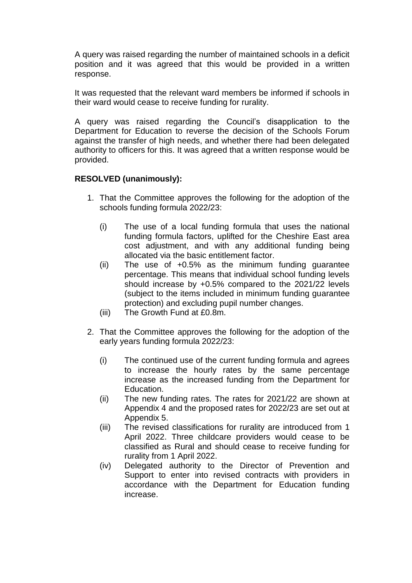A query was raised regarding the number of maintained schools in a deficit position and it was agreed that this would be provided in a written response.

It was requested that the relevant ward members be informed if schools in their ward would cease to receive funding for rurality.

A query was raised regarding the Council's disapplication to the Department for Education to reverse the decision of the Schools Forum against the transfer of high needs, and whether there had been delegated authority to officers for this. It was agreed that a written response would be provided.

# **RESOLVED (unanimously):**

- 1. That the Committee approves the following for the adoption of the schools funding formula 2022/23:
	- (i) The use of a local funding formula that uses the national funding formula factors, uplifted for the Cheshire East area cost adjustment, and with any additional funding being allocated via the basic entitlement factor.
	- (ii) The use of +0.5% as the minimum funding guarantee percentage. This means that individual school funding levels should increase by +0.5% compared to the 2021/22 levels (subject to the items included in minimum funding guarantee protection) and excluding pupil number changes.
	- (iii) The Growth Fund at £0.8m.
- 2. That the Committee approves the following for the adoption of the early years funding formula 2022/23:
	- (i) The continued use of the current funding formula and agrees to increase the hourly rates by the same percentage increase as the increased funding from the Department for Education.
	- (ii) The new funding rates. The rates for 2021/22 are shown at Appendix 4 and the proposed rates for 2022/23 are set out at Appendix 5.
	- (iii) The revised classifications for rurality are introduced from 1 April 2022. Three childcare providers would cease to be classified as Rural and should cease to receive funding for rurality from 1 April 2022.
	- (iv) Delegated authority to the Director of Prevention and Support to enter into revised contracts with providers in accordance with the Department for Education funding increase.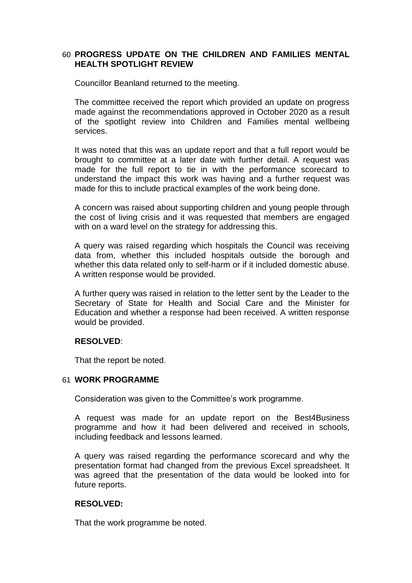# 60 **PROGRESS UPDATE ON THE CHILDREN AND FAMILIES MENTAL HEALTH SPOTLIGHT REVIEW**

Councillor Beanland returned to the meeting.

The committee received the report which provided an update on progress made against the recommendations approved in October 2020 as a result of the spotlight review into Children and Families mental wellbeing services.

It was noted that this was an update report and that a full report would be brought to committee at a later date with further detail. A request was made for the full report to tie in with the performance scorecard to understand the impact this work was having and a further request was made for this to include practical examples of the work being done.

A concern was raised about supporting children and young people through the cost of living crisis and it was requested that members are engaged with on a ward level on the strategy for addressing this.

A query was raised regarding which hospitals the Council was receiving data from, whether this included hospitals outside the borough and whether this data related only to self-harm or if it included domestic abuse. A written response would be provided.

A further query was raised in relation to the letter sent by the Leader to the Secretary of State for Health and Social Care and the Minister for Education and whether a response had been received. A written response would be provided.

# **RESOLVED**:

That the report be noted.

#### 61 **WORK PROGRAMME**

Consideration was given to the Committee's work programme.

A request was made for an update report on the Best4Business programme and how it had been delivered and received in schools, including feedback and lessons learned.

A query was raised regarding the performance scorecard and why the presentation format had changed from the previous Excel spreadsheet. It was agreed that the presentation of the data would be looked into for future reports.

# **RESOLVED:**

That the work programme be noted.